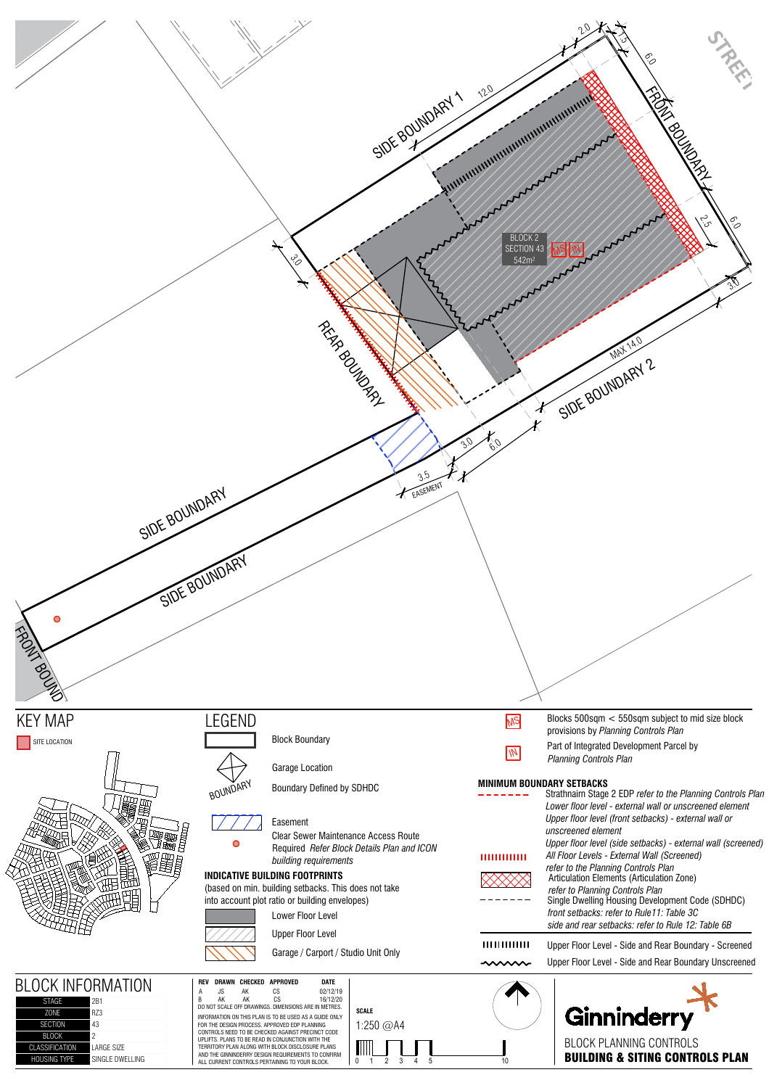